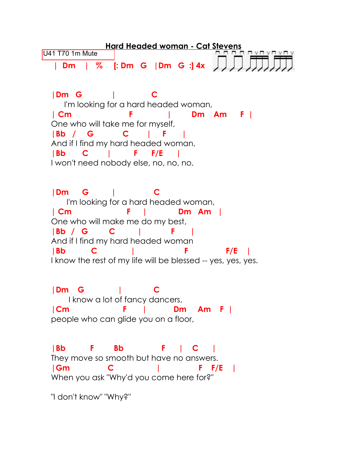**Hard Headed woman - Cat Stevens** U41 T70 1m MuteL A L A L **| Dm | % [: Dm G |Dm G :] 4x |Dm G | C** I'm looking for a hard headed woman, **| Cm F | Dm Am F |**  One who will take me for myself, **|Bb / G C | F |** And if I find my hard headed woman, **|Bb C | F F/E |** I won't need nobody else, no, no, no. **|Dm G | C** I'm looking for a hard headed woman, **| Cm F | Dm Am |** One who will make me do my best, **|Bb / G C | F |**  And if I find my hard headed woman **|Bb C | F F/E |** I know the rest of my life will be blessed -- yes, yes, yes. **|Dm G | C** I know a lot of fancy dancers, **|Cm F | Dm Am F |** people who can glide you on a floor, **|Bb F Bb F | C |** They move so smooth but have no answers. **|Gm C | F F/E |** When you ask "Why'd you come here for?" "I don't know" "Why?"